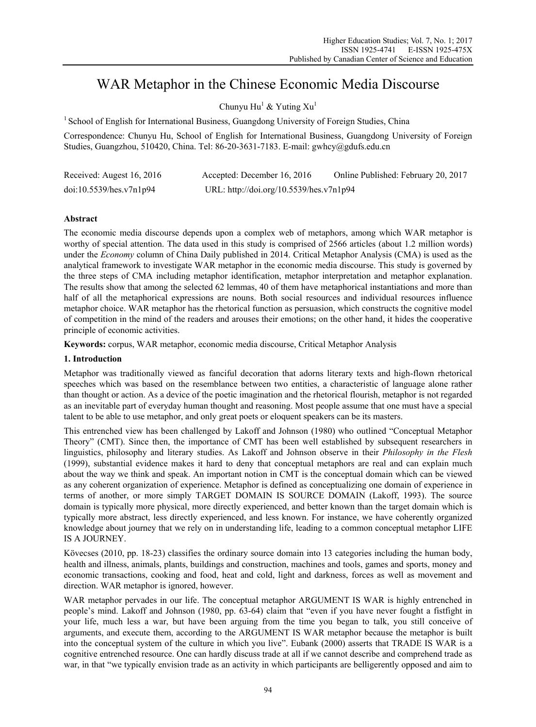# WAR Metaphor in the Chinese Economic Media Discourse

Chunyu Hu<sup>1</sup> & Yuting  $Xu<sup>1</sup>$ 

<sup>1</sup> School of English for International Business, Guangdong University of Foreign Studies, China

Correspondence: Chunyu Hu, School of English for International Business, Guangdong University of Foreign Studies, Guangzhou, 510420, China. Tel: 86-20-3631-7183. E-mail: gwhcy@gdufs.edu.cn

| Received: Augest 16, 2016 | Accepted: December 16, 2016             | Online Published: February 20, 2017 |
|---------------------------|-----------------------------------------|-------------------------------------|
| doi:10.5539/hes.v7n1p94   | URL: http://doi.org/10.5539/hes.v7n1p94 |                                     |

# **Abstract**

The economic media discourse depends upon a complex web of metaphors, among which WAR metaphor is worthy of special attention. The data used in this study is comprised of 2566 articles (about 1.2 million words) under the *Economy* column of China Daily published in 2014. Critical Metaphor Analysis (CMA) is used as the analytical framework to investigate WAR metaphor in the economic media discourse. This study is governed by the three steps of CMA including metaphor identification, metaphor interpretation and metaphor explanation. The results show that among the selected 62 lemmas, 40 of them have metaphorical instantiations and more than half of all the metaphorical expressions are nouns. Both social resources and individual resources influence metaphor choice. WAR metaphor has the rhetorical function as persuasion, which constructs the cognitive model of competition in the mind of the readers and arouses their emotions; on the other hand, it hides the cooperative principle of economic activities.

**Keywords:** corpus, WAR metaphor, economic media discourse, Critical Metaphor Analysis

## **1. Introduction**

Metaphor was traditionally viewed as fanciful decoration that adorns literary texts and high-flown rhetorical speeches which was based on the resemblance between two entities, a characteristic of language alone rather than thought or action. As a device of the poetic imagination and the rhetorical flourish, metaphor is not regarded as an inevitable part of everyday human thought and reasoning. Most people assume that one must have a special talent to be able to use metaphor, and only great poets or eloquent speakers can be its masters.

This entrenched view has been challenged by Lakoff and Johnson (1980) who outlined "Conceptual Metaphor Theory" (CMT). Since then, the importance of CMT has been well established by subsequent researchers in linguistics, philosophy and literary studies. As Lakoff and Johnson observe in their *Philosophy in the Flesh* (1999), substantial evidence makes it hard to deny that conceptual metaphors are real and can explain much about the way we think and speak. An important notion in CMT is the conceptual domain which can be viewed as any coherent organization of experience. Metaphor is defined as conceptualizing one domain of experience in terms of another, or more simply TARGET DOMAIN IS SOURCE DOMAIN (Lakoff, 1993). The source domain is typically more physical, more directly experienced, and better known than the target domain which is typically more abstract, less directly experienced, and less known. For instance, we have coherently organized knowledge about journey that we rely on in understanding life, leading to a common conceptual metaphor LIFE IS A JOURNEY.

Kövecses (2010, pp. 18-23) classifies the ordinary source domain into 13 categories including the human body, health and illness, animals, plants, buildings and construction, machines and tools, games and sports, money and economic transactions, cooking and food, heat and cold, light and darkness, forces as well as movement and direction. WAR metaphor is ignored, however.

WAR metaphor pervades in our life. The conceptual metaphor ARGUMENT IS WAR is highly entrenched in people's mind. Lakoff and Johnson (1980, pp. 63-64) claim that "even if you have never fought a fistfight in your life, much less a war, but have been arguing from the time you began to talk, you still conceive of arguments, and execute them, according to the ARGUMENT IS WAR metaphor because the metaphor is built into the conceptual system of the culture in which you live". Eubank (2000) asserts that TRADE IS WAR is a cognitive entrenched resource. One can hardly discuss trade at all if we cannot describe and comprehend trade as war, in that "we typically envision trade as an activity in which participants are belligerently opposed and aim to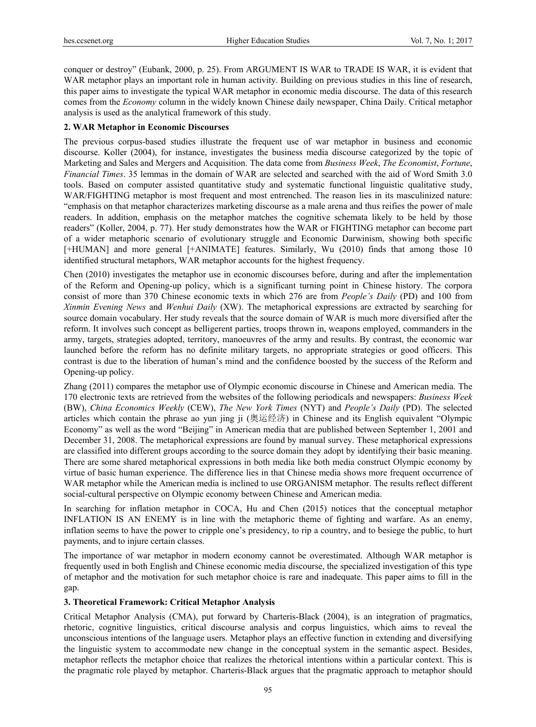conquer or destroy" (Eubank, 2000, p. 25). From ARGUMENT IS WAR to TRADE IS WAR, it is evident that WAR metaphor plays an important role in human activity. Building on previous studies in this line of research, this paper aims to investigate the typical WAR metaphor in economic media discourse. The data of this research comes from the *Economy* column in the widely known Chinese daily newspaper, China Daily. Critical metaphor analysis is used as the analytical framework of this study.

#### **2. WAR Metaphor in Economic Discourses**

The previous corpus-based studies illustrate the frequent use of war metaphor in business and economic discourse. Koller (2004), for instance, investigates the business media discourse categorized by the topic of Marketing and Sales and Mergers and Acquisition. The data come from *Business Week*, *The Economist*, *Fortune*, *Financial Times*. 35 lemmas in the domain of WAR are selected and searched with the aid of Word Smith 3.0 tools. Based on computer assisted quantitative study and systematic functional linguistic qualitative study, WAR/FIGHTING metaphor is most frequent and most entrenched. The reason lies in its masculinized nature: "emphasis on that metaphor characterizes marketing discourse as a male arena and thus reifies the power of male readers. In addition, emphasis on the metaphor matches the cognitive schemata likely to be held by those readers" (Koller, 2004, p. 77). Her study demonstrates how the WAR or FIGHTING metaphor can become part of a wider metaphoric scenario of evolutionary struggle and Economic Darwinism, showing both specific [+HUMAN] and more general [+ANIMATE] features. Similarly, Wu (2010) finds that among those 10 identified structural metaphors, WAR metaphor accounts for the highest frequency.

Chen (2010) investigates the metaphor use in economic discourses before, during and after the implementation of the Reform and Opening-up policy, which is a significant turning point in Chinese history. The corpora consist of more than 370 Chinese economic texts in which 276 are from *People's Daily* (PD) and 100 from *Xinmin Evening News* and *Wenhui Daily* (XW). The metaphorical expressions are extracted by searching for source domain vocabulary. Her study reveals that the source domain of WAR is much more diversified after the reform. It involves such concept as belligerent parties, troops thrown in, weapons employed, commanders in the army, targets, strategies adopted, territory, manoeuvres of the army and results. By contrast, the economic war launched before the reform has no definite military targets, no appropriate strategies or good officers. This contrast is due to the liberation of human's mind and the confidence boosted by the success of the Reform and Opening-up policy.

Zhang (2011) compares the metaphor use of Olympic economic discourse in Chinese and American media. The 170 electronic texts are retrieved from the websites of the following periodicals and newspapers: *Business Week* (BW), *China Economics Weekly* (CEW), *The New York Times* (NYT) and *People's Daily* (PD). The selected articles which contain the phrase ao yun jing ji (奥运经济) in Chinese and its English equivalent "Olympic Economy" as well as the word "Beijing" in American media that are published between September 1, 2001 and December 31, 2008. The metaphorical expressions are found by manual survey. These metaphorical expressions are classified into different groups according to the source domain they adopt by identifying their basic meaning. There are some shared metaphorical expressions in both media like both media construct Olympic economy by virtue of basic human experience. The difference lies in that Chinese media shows more frequent occurrence of WAR metaphor while the American media is inclined to use ORGANISM metaphor. The results reflect different social-cultural perspective on Olympic economy between Chinese and American media.

In searching for inflation metaphor in COCA, Hu and Chen (2015) notices that the conceptual metaphor INFLATION IS AN ENEMY is in line with the metaphoric theme of fighting and warfare. As an enemy, inflation seems to have the power to cripple one's presidency, to rip a country, and to besiege the public, to hurt payments, and to injure certain classes.

The importance of war metaphor in modern economy cannot be overestimated. Although WAR metaphor is frequently used in both English and Chinese economic media discourse, the specialized investigation of this type of metaphor and the motivation for such metaphor choice is rare and inadequate. This paper aims to fill in the gap.

#### **3. Theoretical Framework: Critical Metaphor Analysis**

Critical Metaphor Analysis (CMA), put forward by Charteris-Black (2004), is an integration of pragmatics, rhetoric, cognitive linguistics, critical discourse analysis and corpus linguistics, which aims to reveal the unconscious intentions of the language users. Metaphor plays an effective function in extending and diversifying the linguistic system to accommodate new change in the conceptual system in the semantic aspect. Besides, metaphor reflects the metaphor choice that realizes the rhetorical intentions within a particular context. This is the pragmatic role played by metaphor. Charteris-Black argues that the pragmatic approach to metaphor should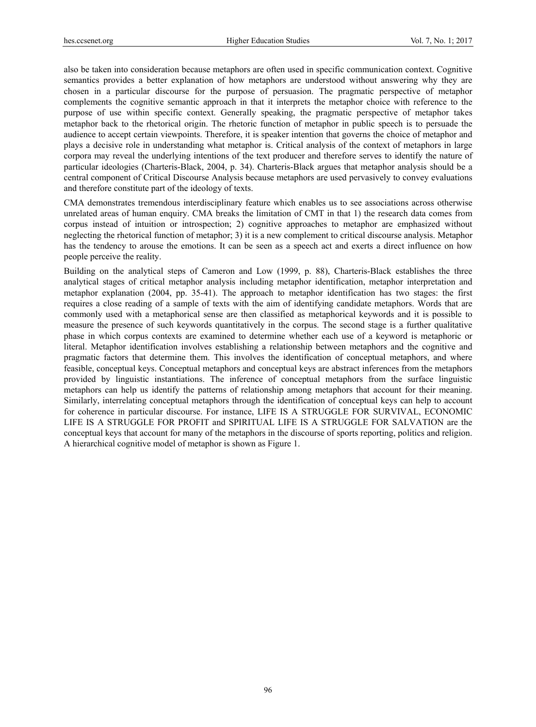also be taken into consideration because metaphors are often used in specific communication context. Cognitive semantics provides a better explanation of how metaphors are understood without answering why they are chosen in a particular discourse for the purpose of persuasion. The pragmatic perspective of metaphor complements the cognitive semantic approach in that it interprets the metaphor choice with reference to the purpose of use within specific context. Generally speaking, the pragmatic perspective of metaphor takes metaphor back to the rhetorical origin. The rhetoric function of metaphor in public speech is to persuade the audience to accept certain viewpoints. Therefore, it is speaker intention that governs the choice of metaphor and plays a decisive role in understanding what metaphor is. Critical analysis of the context of metaphors in large corpora may reveal the underlying intentions of the text producer and therefore serves to identify the nature of particular ideologies (Charteris-Black, 2004, p. 34). Charteris-Black argues that metaphor analysis should be a central component of Critical Discourse Analysis because metaphors are used pervasively to convey evaluations and therefore constitute part of the ideology of texts.

CMA demonstrates tremendous interdisciplinary feature which enables us to see associations across otherwise unrelated areas of human enquiry. CMA breaks the limitation of CMT in that 1) the research data comes from corpus instead of intuition or introspection; 2) cognitive approaches to metaphor are emphasized without neglecting the rhetorical function of metaphor; 3) it is a new complement to critical discourse analysis. Metaphor has the tendency to arouse the emotions. It can be seen as a speech act and exerts a direct influence on how people perceive the reality.

Building on the analytical steps of Cameron and Low (1999, p. 88), Charteris-Black establishes the three analytical stages of critical metaphor analysis including metaphor identification, metaphor interpretation and metaphor explanation (2004, pp. 35-41). The approach to metaphor identification has two stages: the first requires a close reading of a sample of texts with the aim of identifying candidate metaphors. Words that are commonly used with a metaphorical sense are then classified as metaphorical keywords and it is possible to measure the presence of such keywords quantitatively in the corpus. The second stage is a further qualitative phase in which corpus contexts are examined to determine whether each use of a keyword is metaphoric or literal. Metaphor identification involves establishing a relationship between metaphors and the cognitive and pragmatic factors that determine them. This involves the identification of conceptual metaphors, and where feasible, conceptual keys. Conceptual metaphors and conceptual keys are abstract inferences from the metaphors provided by linguistic instantiations. The inference of conceptual metaphors from the surface linguistic metaphors can help us identify the patterns of relationship among metaphors that account for their meaning. Similarly, interrelating conceptual metaphors through the identification of conceptual keys can help to account for coherence in particular discourse. For instance, LIFE IS A STRUGGLE FOR SURVIVAL, ECONOMIC LIFE IS A STRUGGLE FOR PROFIT and SPIRITUAL LIFE IS A STRUGGLE FOR SALVATION are the conceptual keys that account for many of the metaphors in the discourse of sports reporting, politics and religion. A hierarchical cognitive model of metaphor is shown as Figure 1.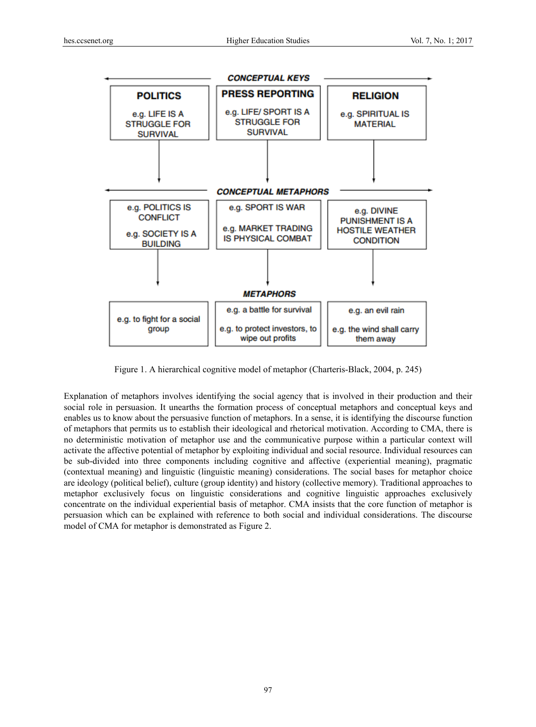

Figure 1. A hierarchical cognitive model of metaphor (Charteris-Black, 2004, p. 245)

Explanation of metaphors involves identifying the social agency that is involved in their production and their social role in persuasion. It unearths the formation process of conceptual metaphors and conceptual keys and enables us to know about the persuasive function of metaphors. In a sense, it is identifying the discourse function of metaphors that permits us to establish their ideological and rhetorical motivation. According to CMA, there is no deterministic motivation of metaphor use and the communicative purpose within a particular context will activate the affective potential of metaphor by exploiting individual and social resource. Individual resources can be sub-divided into three components including cognitive and affective (experiential meaning), pragmatic (contextual meaning) and linguistic (linguistic meaning) considerations. The social bases for metaphor choice are ideology (political belief), culture (group identity) and history (collective memory). Traditional approaches to metaphor exclusively focus on linguistic considerations and cognitive linguistic approaches exclusively concentrate on the individual experiential basis of metaphor. CMA insists that the core function of metaphor is persuasion which can be explained with reference to both social and individual considerations. The discourse model of CMA for metaphor is demonstrated as Figure 2.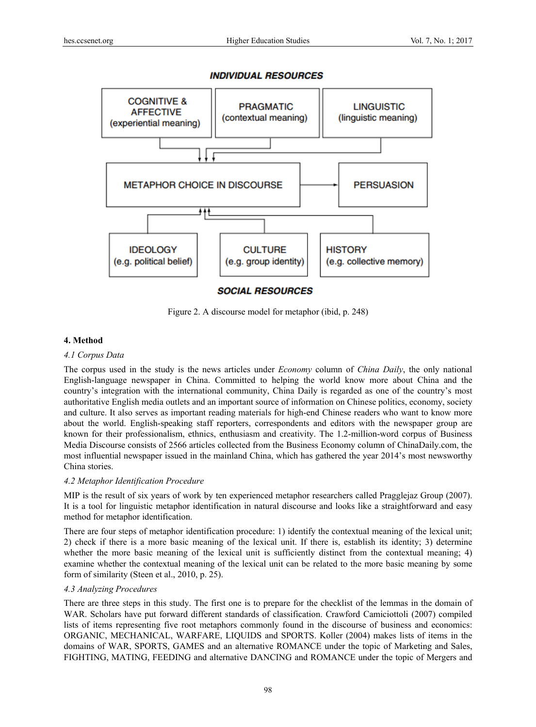# **INDIVIDUAL RESOURCES**



Figure 2. A discourse model for metaphor (ibid, p. 248)

## **4. Method**

## *4.1 Corpus Data*

The corpus used in the study is the news articles under *Economy* column of *China Daily*, the only national English-language newspaper in China. Committed to helping the world know more about China and the country's integration with the international community, China Daily is regarded as one of the country's most authoritative English media outlets and an important source of information on Chinese politics, economy, society and culture. It also serves as important reading materials for high-end Chinese readers who want to know more about the world. English-speaking staff reporters, correspondents and editors with the newspaper group are known for their professionalism, ethnics, enthusiasm and creativity. The 1.2-million-word corpus of Business Media Discourse consists of 2566 articles collected from the Business Economy column of ChinaDaily.com, the most influential newspaper issued in the mainland China, which has gathered the year 2014's most newsworthy China stories.

# *4.2 Metaphor Identification Procedure*

MIP is the result of six years of work by ten experienced metaphor researchers called Pragglejaz Group (2007). It is a tool for linguistic metaphor identification in natural discourse and looks like a straightforward and easy method for metaphor identification.

There are four steps of metaphor identification procedure: 1) identify the contextual meaning of the lexical unit; 2) check if there is a more basic meaning of the lexical unit. If there is, establish its identity; 3) determine whether the more basic meaning of the lexical unit is sufficiently distinct from the contextual meaning; 4) examine whether the contextual meaning of the lexical unit can be related to the more basic meaning by some form of similarity (Steen et al., 2010, p. 25).

## *4.3 Analyzing Procedures*

There are three steps in this study. The first one is to prepare for the checklist of the lemmas in the domain of WAR. Scholars have put forward different standards of classification. Crawford Camiciottoli (2007) compiled lists of items representing five root metaphors commonly found in the discourse of business and economics: ORGANIC, MECHANICAL, WARFARE, LIQUIDS and SPORTS. Koller (2004) makes lists of items in the domains of WAR, SPORTS, GAMES and an alternative ROMANCE under the topic of Marketing and Sales, FIGHTING, MATING, FEEDING and alternative DANCING and ROMANCE under the topic of Mergers and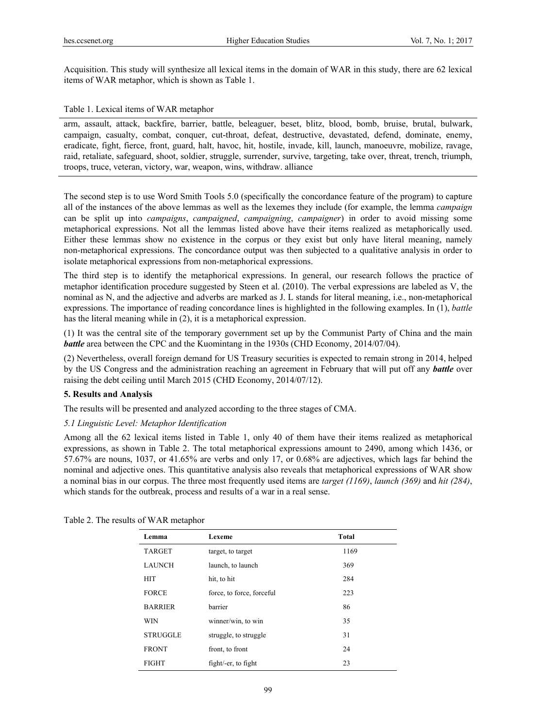Acquisition. This study will synthesize all lexical items in the domain of WAR in this study, there are 62 lexical items of WAR metaphor, which is shown as Table 1.

## Table 1. Lexical items of WAR metaphor

arm, assault, attack, backfire, barrier, battle, beleaguer, beset, blitz, blood, bomb, bruise, brutal, bulwark, campaign, casualty, combat, conquer, cut-throat, defeat, destructive, devastated, defend, dominate, enemy, eradicate, fight, fierce, front, guard, halt, havoc, hit, hostile, invade, kill, launch, manoeuvre, mobilize, ravage, raid, retaliate, safeguard, shoot, soldier, struggle, surrender, survive, targeting, take over, threat, trench, triumph, troops, truce, veteran, victory, war, weapon, wins, withdraw. alliance

The second step is to use Word Smith Tools 5.0 (specifically the concordance feature of the program) to capture all of the instances of the above lemmas as well as the lexemes they include (for example, the lemma *campaign* can be split up into *campaigns*, *campaigned*, *campaigning*, *campaigner*) in order to avoid missing some metaphorical expressions. Not all the lemmas listed above have their items realized as metaphorically used. Either these lemmas show no existence in the corpus or they exist but only have literal meaning, namely non-metaphorical expressions. The concordance output was then subjected to a qualitative analysis in order to isolate metaphorical expressions from non-metaphorical expressions.

The third step is to identify the metaphorical expressions. In general, our research follows the practice of metaphor identification procedure suggested by Steen et al. (2010). The verbal expressions are labeled as V, the nominal as N, and the adjective and adverbs are marked as J. L stands for literal meaning, i.e., non-metaphorical expressions. The importance of reading concordance lines is highlighted in the following examples. In (1), *battle* has the literal meaning while in (2), it is a metaphorical expression.

(1) It was the central site of the temporary government set up by the Communist Party of China and the main *battle* area between the CPC and the Kuomintang in the 1930s (CHD Economy, 2014/07/04).

(2) Nevertheless, overall foreign demand for US Treasury securities is expected to remain strong in 2014, helped by the US Congress and the administration reaching an agreement in February that will put off any *battle* over raising the debt ceiling until March 2015 (CHD Economy, 2014/07/12).

# **5. Results and Analysis**

The results will be presented and analyzed according to the three stages of CMA.

## *5.1 Linguistic Level: Metaphor Identification*

Among all the 62 lexical items listed in Table 1, only 40 of them have their items realized as metaphorical expressions, as shown in Table 2. The total metaphorical expressions amount to 2490, among which 1436, or 57.67% are nouns, 1037, or 41.65% are verbs and only 17, or 0.68% are adjectives, which lags far behind the nominal and adjective ones. This quantitative analysis also reveals that metaphorical expressions of WAR show a nominal bias in our corpus. The three most frequently used items are *target (1169)*, *launch (369)* and *hit (284)*, which stands for the outbreak, process and results of a war in a real sense.

| Lemma |                 | Lexeme                    | <b>Total</b> |  |
|-------|-----------------|---------------------------|--------------|--|
|       |                 |                           |              |  |
|       | <b>TARGET</b>   | target, to target         | 1169         |  |
|       | <b>LAUNCH</b>   | launch, to launch         | 369          |  |
|       | <b>HIT</b>      | hit, to hit               | 284          |  |
|       | <b>FORCE</b>    | force, to force, forceful | 223          |  |
|       | <b>BARRIER</b>  | barrier                   | 86           |  |
|       | <b>WIN</b>      | winner/win, to win        | 35           |  |
|       | <b>STRUGGLE</b> | struggle, to struggle     | 31           |  |
|       | <b>FRONT</b>    | front, to front           | 24           |  |
|       | <b>FIGHT</b>    | fight/-er, to fight       | 23           |  |

Table 2. The results of WAR metaphor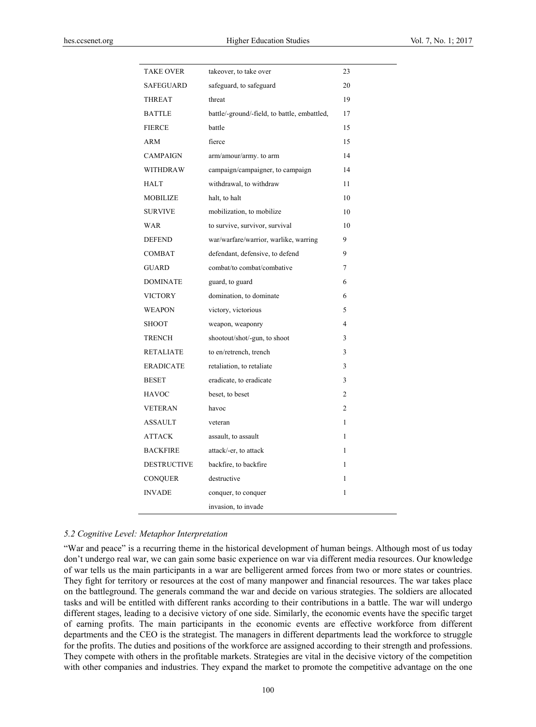| <b>TAKE OVER</b>   | takeover, to take over                       | 23             |
|--------------------|----------------------------------------------|----------------|
| <b>SAFEGUARD</b>   | safeguard, to safeguard                      | 20             |
| <b>THREAT</b>      | threat                                       | 19             |
| <b>BATTLE</b>      | battle/-ground/-field, to battle, embattled, | 17             |
| <b>FIERCE</b>      | battle                                       | 15             |
| ARM                | fierce                                       | 15             |
| <b>CAMPAIGN</b>    | arm/amour/army. to arm                       | 14             |
| <b>WITHDRAW</b>    | campaign/campaigner, to campaign             | 14             |
| <b>HALT</b>        | withdrawal, to withdraw                      | 11             |
| MOBILIZE           | halt, to halt                                | 10             |
| <b>SURVIVE</b>     | mobilization, to mobilize                    | 10             |
| WAR                | to survive, survivor, survival               | 10             |
| <b>DEFEND</b>      | war/warfare/warrior, warlike, warring        | 9              |
| COMBAT             | defendant, defensive, to defend              | 9              |
| <b>GUARD</b>       | combat/to combat/combative                   | 7              |
| <b>DOMINATE</b>    | guard, to guard                              | 6              |
| <b>VICTORY</b>     | domination, to dominate                      | 6              |
| <b>WEAPON</b>      | victory, victorious                          | 5              |
| <b>SHOOT</b>       | weapon, weaponry                             | 4              |
| <b>TRENCH</b>      | shootout/shot/-gun, to shoot                 | 3              |
| <b>RETALIATE</b>   | to en/retrench, trench                       | 3              |
| <b>ERADICATE</b>   | retaliation, to retaliate                    | 3              |
| <b>BESET</b>       | eradicate, to eradicate                      | 3              |
| <b>HAVOC</b>       | beset, to beset                              | $\overline{c}$ |
| <b>VETERAN</b>     | havoc                                        | 2              |
| <b>ASSAULT</b>     | veteran                                      | 1              |
| <b>ATTACK</b>      | assault, to assault                          | 1              |
| <b>BACKFIRE</b>    | attack/-er, to attack                        | 1              |
| <b>DESTRUCTIVE</b> | backfire, to backfire                        | 1              |
| <b>CONQUER</b>     | destructive                                  | 1              |
| <b>INVADE</b>      | conquer, to conquer                          | 1              |
|                    | invasion, to invade                          |                |

#### *5.2 Cognitive Level: Metaphor Interpretation*

"War and peace" is a recurring theme in the historical development of human beings. Although most of us today don't undergo real war, we can gain some basic experience on war via different media resources. Our knowledge of war tells us the main participants in a war are belligerent armed forces from two or more states or countries. They fight for territory or resources at the cost of many manpower and financial resources. The war takes place on the battleground. The generals command the war and decide on various strategies. The soldiers are allocated tasks and will be entitled with different ranks according to their contributions in a battle. The war will undergo different stages, leading to a decisive victory of one side. Similarly, the economic events have the specific target of earning profits. The main participants in the economic events are effective workforce from different departments and the CEO is the strategist. The managers in different departments lead the workforce to struggle for the profits. The duties and positions of the workforce are assigned according to their strength and professions. They compete with others in the profitable markets. Strategies are vital in the decisive victory of the competition with other companies and industries. They expand the market to promote the competitive advantage on the one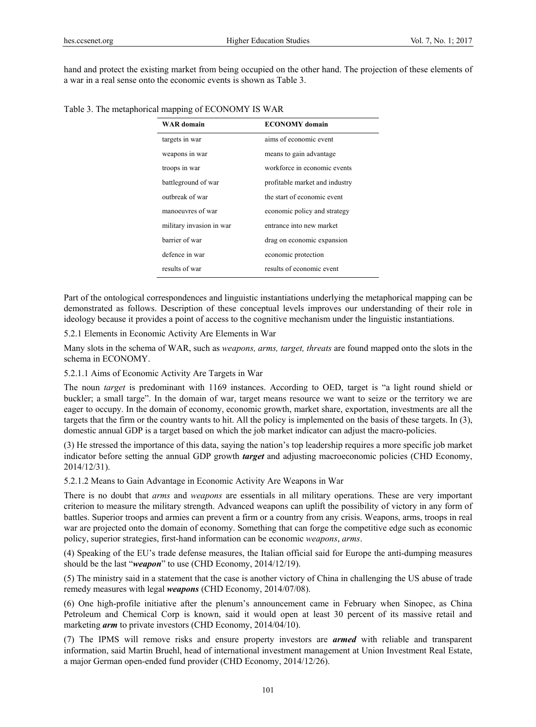hand and protect the existing market from being occupied on the other hand. The projection of these elements of a war in a real sense onto the economic events is shown as Table 3.

| <b>WAR</b> domain        | <b>ECONOMY</b> domain          |
|--------------------------|--------------------------------|
| targets in war           | aims of economic event         |
| weapons in war           | means to gain advantage        |
| troops in war            | workforce in economic events   |
| battleground of war      | profitable market and industry |
| outbreak of war          | the start of economic event    |
| manoeuvres of war        | economic policy and strategy   |
| military invasion in war | entrance into new market       |
| barrier of war           | drag on economic expansion     |
| defence in war           | economic protection            |
| results of war           | results of economic event      |

Part of the ontological correspondences and linguistic instantiations underlying the metaphorical mapping can be demonstrated as follows. Description of these conceptual levels improves our understanding of their role in ideology because it provides a point of access to the cognitive mechanism under the linguistic instantiations.

5.2.1 Elements in Economic Activity Are Elements in War

Many slots in the schema of WAR, such as *weapons, arms, target, threats* are found mapped onto the slots in the schema in ECONOMY.

# 5.2.1.1 Aims of Economic Activity Are Targets in War

The noun *target* is predominant with 1169 instances. According to OED, target is "a light round shield or buckler; a small targe". In the domain of war, target means resource we want to seize or the territory we are eager to occupy. In the domain of economy, economic growth, market share, exportation, investments are all the targets that the firm or the country wants to hit. All the policy is implemented on the basis of these targets. In (3), domestic annual GDP is a target based on which the job market indicator can adjust the macro-policies.

(3) He stressed the importance of this data, saying the nation's top leadership requires a more specific job market indicator before setting the annual GDP growth *target* and adjusting macroeconomic policies (CHD Economy, 2014/12/31).

5.2.1.2 Means to Gain Advantage in Economic Activity Are Weapons in War

There is no doubt that *arms* and *weapons* are essentials in all military operations. These are very important criterion to measure the military strength. Advanced weapons can uplift the possibility of victory in any form of battles. Superior troops and armies can prevent a firm or a country from any crisis. Weapons, arms, troops in real war are projected onto the domain of economy. Something that can forge the competitive edge such as economic policy, superior strategies, first-hand information can be economic *weapons*, *arms*.

(4) Speaking of the EU's trade defense measures, the Italian official said for Europe the anti-dumping measures should be the last "*weapon*" to use (CHD Economy, 2014/12/19).

(5) The ministry said in a statement that the case is another victory of China in challenging the US abuse of trade remedy measures with legal *weapons* (CHD Economy, 2014/07/08).

(6) One high-profile initiative after the plenum's announcement came in February when Sinopec, as China Petroleum and Chemical Corp is known, said it would open at least 30 percent of its massive retail and marketing *arm* to private investors (CHD Economy, 2014/04/10).

(7) The IPMS will remove risks and ensure property investors are *armed* with reliable and transparent information, said Martin Bruehl, head of international investment management at Union Investment Real Estate, a major German open-ended fund provider (CHD Economy, 2014/12/26).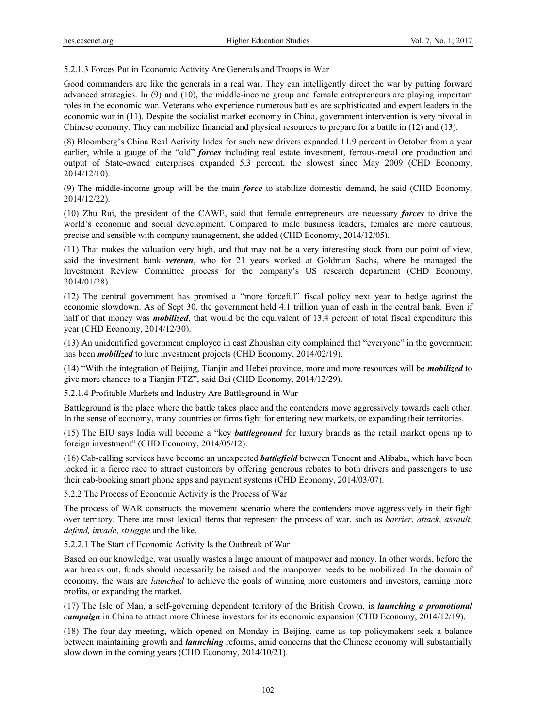5.2.1.3 Forces Put in Economic Activity Are Generals and Troops in War

Good commanders are like the generals in a real war. They can intelligently direct the war by putting forward advanced strategies. In (9) and (10), the middle-income group and female entrepreneurs are playing important roles in the economic war. Veterans who experience numerous battles are sophisticated and expert leaders in the economic war in (11). Despite the socialist market economy in China, government intervention is very pivotal in Chinese economy. They can mobilize financial and physical resources to prepare for a battle in (12) and (13).

(8) Bloomberg's China Real Activity Index for such new drivers expanded 11.9 percent in October from a year earlier, while a gauge of the "old" *forces* including real estate investment, ferrous-metal ore production and output of State-owned enterprises expanded 5.3 percent, the slowest since May 2009 (CHD Economy, 2014/12/10).

(9) The middle-income group will be the main *force* to stabilize domestic demand, he said (CHD Economy, 2014/12/22).

(10) Zhu Rui, the president of the CAWE, said that female entrepreneurs are necessary *forces* to drive the world's economic and social development. Compared to male business leaders, females are more cautious, precise and sensible with company management, she added (CHD Economy, 2014/12/05).

(11) That makes the valuation very high, and that may not be a very interesting stock from our point of view, said the investment bank *veteran*, who for 21 years worked at Goldman Sachs, where he managed the Investment Review Committee process for the company's US research department (CHD Economy, 2014/01/28).

(12) The central government has promised a "more forceful" fiscal policy next year to hedge against the economic slowdown. As of Sept 30, the government held 4.1 trillion yuan of cash in the central bank. Even if half of that money was *mobilized*, that would be the equivalent of 13.4 percent of total fiscal expenditure this year (CHD Economy, 2014/12/30).

(13) An unidentified government employee in east Zhoushan city complained that "everyone" in the government has been *mobilized* to lure investment projects (CHD Economy, 2014/02/19).

(14) "With the integration of Beijing, Tianjin and Hebei province, more and more resources will be *mobilized* to give more chances to a Tianjin FTZ", said Bai (CHD Economy, 2014/12/29).

5.2.1.4 Profitable Markets and Industry Are Battleground in War

Battleground is the place where the battle takes place and the contenders move aggressively towards each other. In the sense of economy, many countries or firms fight for entering new markets, or expanding their territories.

(15) The EIU says India will become a "key *battleground* for luxury brands as the retail market opens up to foreign investment" (CHD Economy, 2014/05/12).

(16) Cab-calling services have become an unexpected *battlefield* between Tencent and Alibaba, which have been locked in a fierce race to attract customers by offering generous rebates to both drivers and passengers to use their cab-booking smart phone apps and payment systems (CHD Economy, 2014/03/07).

5.2.2 The Process of Economic Activity is the Process of War

The process of WAR constructs the movement scenario where the contenders move aggressively in their fight over territory. There are most lexical items that represent the process of war, such as *barrier*, *attack*, *assault*, *defend, invade*, *struggle* and the like.

5.2.2.1 The Start of Economic Activity Is the Outbreak of War

Based on our knowledge, war usually wastes a large amount of manpower and money. In other words, before the war breaks out, funds should necessarily be raised and the manpower needs to be mobilized. In the domain of economy, the wars are *launched* to achieve the goals of winning more customers and investors, earning more profits, or expanding the market.

(17) The Isle of Man, a self-governing dependent territory of the British Crown, is *launching a promotional campaign* in China to attract more Chinese investors for its economic expansion (CHD Economy, 2014/12/19).

(18) The four-day meeting, which opened on Monday in Beijing, came as top policymakers seek a balance between maintaining growth and *launching* reforms, amid concerns that the Chinese economy will substantially slow down in the coming years (CHD Economy, 2014/10/21).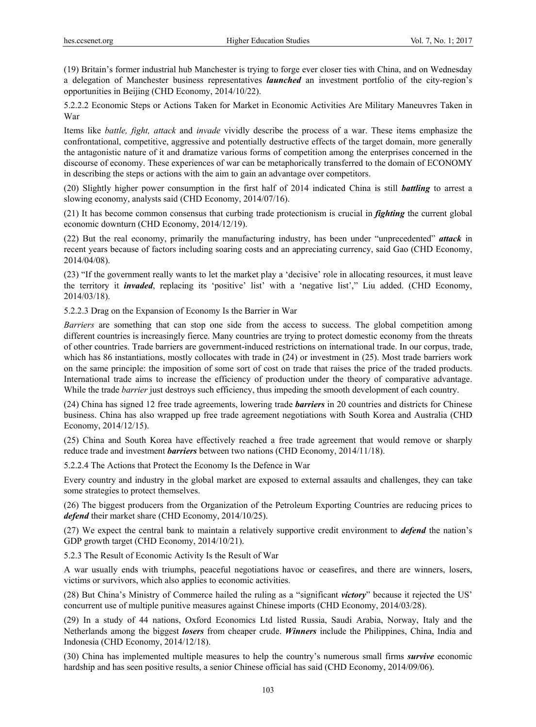(19) Britain's former industrial hub Manchester is trying to forge ever closer ties with China, and on Wednesday a delegation of Manchester business representatives *launched* an investment portfolio of the city-region's opportunities in Beijing (CHD Economy, 2014/10/22).

5.2.2.2 Economic Steps or Actions Taken for Market in Economic Activities Are Military Maneuvres Taken in War

Items like *battle, fight, attack* and *invade* vividly describe the process of a war. These items emphasize the confrontational, competitive, aggressive and potentially destructive effects of the target domain, more generally the antagonistic nature of it and dramatize various forms of competition among the enterprises concerned in the discourse of economy. These experiences of war can be metaphorically transferred to the domain of ECONOMY in describing the steps or actions with the aim to gain an advantage over competitors.

(20) Slightly higher power consumption in the first half of 2014 indicated China is still *battling* to arrest a slowing economy, analysts said (CHD Economy, 2014/07/16).

(21) It has become common consensus that curbing trade protectionism is crucial in *fighting* the current global economic downturn (CHD Economy, 2014/12/19).

(22) But the real economy, primarily the manufacturing industry, has been under "unprecedented" *attack* in recent years because of factors including soaring costs and an appreciating currency, said Gao (CHD Economy, 2014/04/08).

(23) "If the government really wants to let the market play a 'decisive' role in allocating resources, it must leave the territory it *invaded*, replacing its 'positive' list' with a 'negative list'," Liu added. (CHD Economy, 2014/03/18).

5.2.2.3 Drag on the Expansion of Economy Is the Barrier in War

*Barriers* are something that can stop one side from the access to success. The global competition among different countries is increasingly fierce. Many countries are trying to protect domestic economy from the threats of other countries. Trade barriers are government-induced restrictions on international trade. In our corpus, trade, which has 86 instantiations, mostly collocates with trade in  $(24)$  or investment in  $(25)$ . Most trade barriers work on the same principle: the imposition of some sort of cost on trade that raises the price of the traded products. International trade aims to increase the efficiency of production under the theory of comparative advantage. While the trade *barrier* just destroys such efficiency, thus impeding the smooth development of each country.

(24) China has signed 12 free trade agreements, lowering trade *barriers* in 20 countries and districts for Chinese business. China has also wrapped up free trade agreement negotiations with South Korea and Australia (CHD Economy, 2014/12/15).

(25) China and South Korea have effectively reached a free trade agreement that would remove or sharply reduce trade and investment *barriers* between two nations (CHD Economy, 2014/11/18).

5.2.2.4 The Actions that Protect the Economy Is the Defence in War

Every country and industry in the global market are exposed to external assaults and challenges, they can take some strategies to protect themselves.

(26) The biggest producers from the Organization of the Petroleum Exporting Countries are reducing prices to *defend* their market share (CHD Economy, 2014/10/25).

(27) We expect the central bank to maintain a relatively supportive credit environment to *defend* the nation's GDP growth target (CHD Economy, 2014/10/21).

5.2.3 The Result of Economic Activity Is the Result of War

A war usually ends with triumphs, peaceful negotiations havoc or ceasefires, and there are winners, losers, victims or survivors, which also applies to economic activities.

(28) But China's Ministry of Commerce hailed the ruling as a "significant *victory*" because it rejected the US' concurrent use of multiple punitive measures against Chinese imports (CHD Economy, 2014/03/28).

(29) In a study of 44 nations, Oxford Economics Ltd listed Russia, Saudi Arabia, Norway, Italy and the Netherlands among the biggest *losers* from cheaper crude. *Winners* include the Philippines, China, India and Indonesia (CHD Economy, 2014/12/18).

(30) China has implemented multiple measures to help the country's numerous small firms *survive* economic hardship and has seen positive results, a senior Chinese official has said (CHD Economy, 2014/09/06).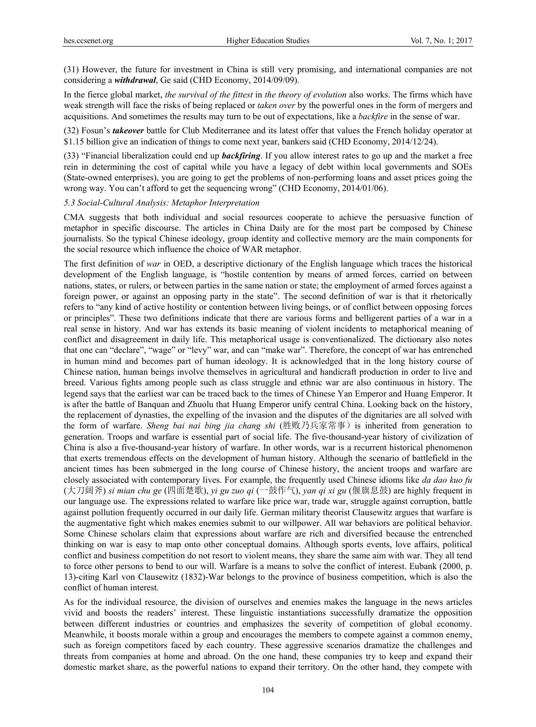(31) However, the future for investment in China is still very promising, and international companies are not considering a *withdrawal*, Ge said (CHD Economy, 2014/09/09).

In the fierce global market, *the survival of the fittest* in *the theory of evolution* also works. The firms which have weak strength will face the risks of being replaced or *taken over* by the powerful ones in the form of mergers and acquisitions. And sometimes the results may turn to be out of expectations, like a *backfire* in the sense of war.

(32) Fosun's *takeover* battle for Club Mediterranee and its latest offer that values the French holiday operator at \$1.15 billion give an indication of things to come next year, bankers said (CHD Economy, 2014/12/24).

(33) "Financial liberalization could end up *backfiring*. If you allow interest rates to go up and the market a free rein in determining the cost of capital while you have a legacy of debt within local governments and SOEs (State-owned enterprises), you are going to get the problems of non-performing loans and asset prices going the wrong way. You can't afford to get the sequencing wrong" (CHD Economy, 2014/01/06).

## *5.3 Social-Cultural Analysis: Metaphor Interpretation*

CMA suggests that both individual and social resources cooperate to achieve the persuasive function of metaphor in specific discourse. The articles in China Daily are for the most part be composed by Chinese journalists. So the typical Chinese ideology, group identity and collective memory are the main components for the social resource which influence the choice of WAR metaphor.

The first definition of *war* in OED, a descriptive dictionary of the English language which traces the historical development of the English language, is "hostile contention by means of armed forces, carried on between nations, states, or rulers, or between parties in the same nation or state; the employment of armed forces against a foreign power, or against an opposing party in the state". The second definition of war is that it rhetorically refers to "any kind of active hostility or contention between living beings, or of conflict between opposing forces or principles". These two definitions indicate that there are various forms and belligerent parties of a war in a real sense in history. And war has extends its basic meaning of violent incidents to metaphorical meaning of conflict and disagreement in daily life. This metaphorical usage is conventionalized. The dictionary also notes that one can "declare", "wage" or "levy" war, and can "make war". Therefore, the concept of war has entrenched in human mind and becomes part of human ideology. It is acknowledged that in the long history course of Chinese nation, human beings involve themselves in agricultural and handicraft production in order to live and breed. Various fights among people such as class struggle and ethnic war are also continuous in history. The legend says that the earliest war can be traced back to the times of Chinese Yan Emperor and Huang Emperor. It is after the battle of Banquan and Zhuolu that Huang Emperor unify central China. Looking back on the history, the replacement of dynasties, the expelling of the invasion and the disputes of the dignitaries are all solved with the form of warfare. *Sheng bai nai bing jia chang shi* (胜败乃兵家常事)is inherited from generation to generation. Troops and warfare is essential part of social life. The five-thousand-year history of civilization of China is also a five-thousand-year history of warfare. In other words, war is a recurrent historical phenomenon that exerts tremendous effects on the development of human history. Although the scenario of battlefield in the ancient times has been submerged in the long course of Chinese history, the ancient troops and warfare are closely associated with contemporary lives. For example, the frequently used Chinese idioms like *da dao kuo fu* (大刀阔斧) *si mian chu ge* (四面楚歌), *yi gu zuo qi* (一鼓作气), *yan qi xi gu* (偃旗息鼓) are highly frequent in our language use. The expressions related to warfare like price war, trade war, struggle against corruption, battle against pollution frequently occurred in our daily life. German military theorist Clausewitz argues that warfare is the augmentative fight which makes enemies submit to our willpower. All war behaviors are political behavior. Some Chinese scholars claim that expressions about warfare are rich and diversified because the entrenched thinking on war is easy to map onto other conceptual domains. Although sports events, love affairs, political conflict and business competition do not resort to violent means, they share the same aim with war. They all tend to force other persons to bend to our will. Warfare is a means to solve the conflict of interest. Eubank (2000, p. 13)-citing Karl von Clausewitz (1832)-War belongs to the province of business competition, which is also the conflict of human interest.

As for the individual resource, the division of ourselves and enemies makes the language in the news articles vivid and boosts the readers' interest. These linguistic instantiations successfully dramatize the opposition between different industries or countries and emphasizes the severity of competition of global economy. Meanwhile, it boosts morale within a group and encourages the members to compete against a common enemy, such as foreign competitors faced by each country. These aggressive scenarios dramatize the challenges and threats from companies at home and abroad. On the one hand, these companies try to keep and expand their domestic market share, as the powerful nations to expand their territory. On the other hand, they compete with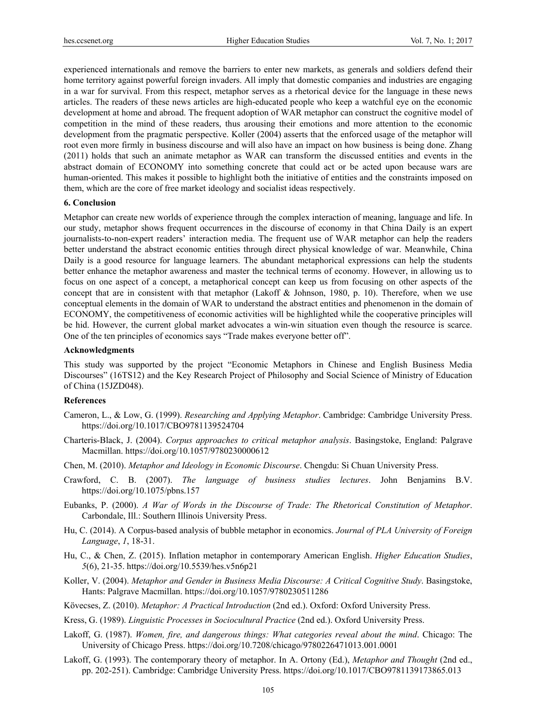experienced internationals and remove the barriers to enter new markets, as generals and soldiers defend their home territory against powerful foreign invaders. All imply that domestic companies and industries are engaging in a war for survival. From this respect, metaphor serves as a rhetorical device for the language in these news articles. The readers of these news articles are high-educated people who keep a watchful eye on the economic development at home and abroad. The frequent adoption of WAR metaphor can construct the cognitive model of competition in the mind of these readers, thus arousing their emotions and more attention to the economic development from the pragmatic perspective. Koller (2004) asserts that the enforced usage of the metaphor will root even more firmly in business discourse and will also have an impact on how business is being done. Zhang (2011) holds that such an animate metaphor as WAR can transform the discussed entities and events in the abstract domain of ECONOMY into something concrete that could act or be acted upon because wars are human-oriented. This makes it possible to highlight both the initiative of entities and the constraints imposed on them, which are the core of free market ideology and socialist ideas respectively.

#### **6. Conclusion**

Metaphor can create new worlds of experience through the complex interaction of meaning, language and life. In our study, metaphor shows frequent occurrences in the discourse of economy in that China Daily is an expert journalists-to-non-expert readers' interaction media. The frequent use of WAR metaphor can help the readers better understand the abstract economic entities through direct physical knowledge of war. Meanwhile, China Daily is a good resource for language learners. The abundant metaphorical expressions can help the students better enhance the metaphor awareness and master the technical terms of economy. However, in allowing us to focus on one aspect of a concept, a metaphorical concept can keep us from focusing on other aspects of the concept that are in consistent with that metaphor (Lakoff & Johnson, 1980, p. 10). Therefore, when we use conceptual elements in the domain of WAR to understand the abstract entities and phenomenon in the domain of ECONOMY, the competitiveness of economic activities will be highlighted while the cooperative principles will be hid. However, the current global market advocates a win-win situation even though the resource is scarce. One of the ten principles of economics says "Trade makes everyone better off".

#### **Acknowledgments**

This study was supported by the project "Economic Metaphors in Chinese and English Business Media Discourses" (16TS12) and the Key Research Project of Philosophy and Social Science of Ministry of Education of China (15JZD048).

## **References**

- Cameron, L., & Low, G. (1999). *Researching and Applying Metaphor*. Cambridge: Cambridge University Press. https://doi.org/10.1017/CBO9781139524704
- Charteris-Black, J. (2004). *Corpus approaches to critical metaphor analysis*. Basingstoke, England: Palgrave Macmillan. https://doi.org/10.1057/9780230000612
- Chen, M. (2010). *Metaphor and Ideology in Economic Discourse*. Chengdu: Si Chuan University Press.
- Crawford, C. B. (2007). *The language of business studies lectures*. John Benjamins B.V. https://doi.org/10.1075/pbns.157
- Eubanks, P. (2000). *A War of Words in the Discourse of Trade: The Rhetorical Constitution of Metaphor*. Carbondale, Ill.: Southern Illinois University Press.
- Hu, C. (2014). A Corpus-based analysis of bubble metaphor in economics. *Journal of PLA University of Foreign Language*, *1*, 18-31.
- Hu, C., & Chen, Z. (2015). Inflation metaphor in contemporary American English. *Higher Education Studies*, *5*(6), 21-35. https://doi.org/10.5539/hes.v5n6p21
- Koller, V. (2004). *Metaphor and Gender in Business Media Discourse: A Critical Cognitive Study*. Basingstoke, Hants: Palgrave Macmillan. https://doi.org/10.1057/9780230511286
- Kövecses, Z. (2010). *Metaphor: A Practical Introduction* (2nd ed.). Oxford: Oxford University Press.
- Kress, G. (1989). *Linguistic Processes in Sociocultural Practice* (2nd ed.). Oxford University Press.
- Lakoff, G. (1987). *Women, fire, and dangerous things: What categories reveal about the mind*. Chicago: The University of Chicago Press. https://doi.org/10.7208/chicago/9780226471013.001.0001
- Lakoff, G. (1993). The contemporary theory of metaphor. In A. Ortony (Ed.), *Metaphor and Thought* (2nd ed., pp. 202-251). Cambridge: Cambridge University Press. https://doi.org/10.1017/CBO9781139173865.013